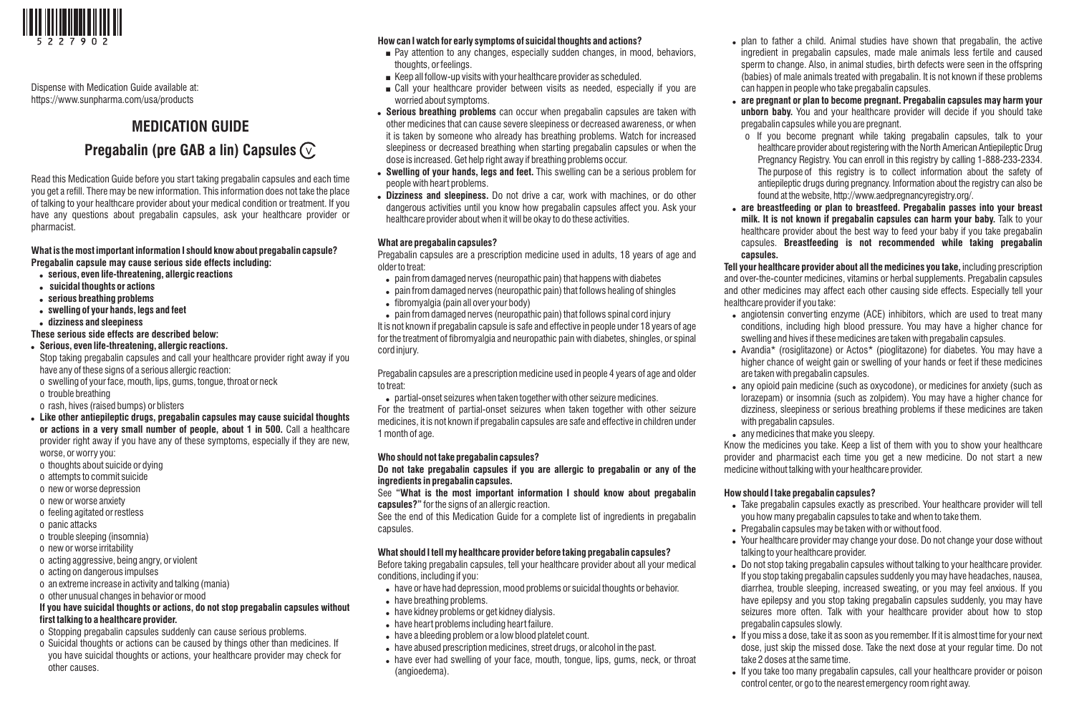

Dispense with Medication Guide available at: https://www.sunpharma.com/usa/products

# **MEDICATION GUIDE**

# **Pregabalin (pre GAB a lin) Capsules**

Read this Medication Guide before you start taking pregabalin capsules and each time you get a refill. There may be new information. This information does not take the place of talking to your healthcare provider about your medical condition or treatment. If you have any questions about pregabalin capsules, ask your healthcare provider or pharmacist.

# **What is the most important information I should know about pregabalin capsule? Pregabalin capsule may cause serious side effects including:**

- ! **serious, even life-threatening, allergic reactions**
- ! **suicidal thoughts or actions**
- ! **serious breathing problems**
- ! **swelling of your hands, legs and feet**
- ! **dizziness and sleepiness**

## **These serious side effects are described below:**

- ! **Serious, even life-threatening, allergic reactions.**
- Stop taking pregabalin capsules and call your healthcare provider right away if you have any of these signs of a serious allergic reaction:
- o swelling of your face, mouth, lips, gums, tongue, throat or neck
- o trouble breathing
- o rash, hives (raised bumps) or blisters
- ! **Like other antiepileptic drugs, pregabalin capsules may cause suicidal thoughts or actions in a very small number of people, about 1 in 500.** Call a healthcare provider right away if you have any of these symptoms, especially if they are new, worse, or worry you:
- o thoughts about suicide or dying
- o attempts to commit suicide
- o new or worse depression
- o new or worse anxiety
- o feeling agitated or restless
- o panic attacks
- o trouble sleeping (insomnia)
- o new or worse irritability
- o acting aggressive, being angry, or violent
- o acting on dangerous impulses
- o an extreme increase in activity and talking (mania)
- o other unusual changes in behavior or mood

# **If you have suicidal thoughts or actions, do not stop pregabalin capsules without first talking to a healthcare provider.**

- o Stopping pregabalin capsules suddenly can cause serious problems.
- o Suicidal thoughts or actions can be caused by things other than medicines. If you have suicidal thoughts or actions, your healthcare provider may check for other causes.

# **How can I watch for early symptoms of suicidal thoughts and actions?**

- $\blacksquare$  Pay attention to any changes, especially sudden changes, in mood, behaviors, thoughts, or feelings.
- $\blacksquare$  Keep all follow-up visits with your healthcare provider as scheduled.
- $\blacksquare$  Call your healthcare provider between visits as needed, especially if you are worried about symptoms.
- ! **Serious breathing problems** can occur when pregabalin capsules are taken with other medicines that can cause severe sleepiness or decreased awareness, or when it is taken by someone who already has breathing problems. Watch for increased sleepiness or decreased breathing when starting pregabalin capsules or when the dose is increased. Get help right away if breathing problems occur.
- ! **Swelling of your hands, legs and feet.** This swelling can be a serious problem for people with heart problems.
- ! **Dizziness and sleepiness.** Do not drive a car, work with machines, or do other dangerous activities until you know how pregabalin capsules affect you. Ask your healthcare provider about when it will be okay to do these activities.

# **What are pregabalin capsules?**

Pregabalin capsules are a prescription medicine used in adults, 18 years of age and older to treat:

- pain from damaged nerves (neuropathic pain) that happens with diabetes
- pain from damaged nerves (neuropathic pain) that follows healing of shingles
- fibromyalgia (pain all over your body)

. pain from damaged nerves (neuropathic pain) that follows spinal cord injury It is not known if pregabalin capsule is safe and effective in people under 18 years of age for the treatment of fibromyalgia and neuropathic pain with diabetes, shingles, or spinal cord injury.

Pregabalin capsules are a prescription medicine used in people 4 years of age and older to treat:

. partial-onset seizures when taken together with other seizure medicines.

For the treatment of partial-onset seizures when taken together with other seizure medicines, it is not known if pregabalin capsules are safe and effective in children under 1 month of age.

## **Who should not take pregabalin capsules?**

**Do not take pregabalin capsules if you are allergic to pregabalin or any of the ingredients in pregabalin capsules.**

See **"What is the most important information I should know about pregabalin capsules?"** for the signs of an allergic reaction.

See the end of this Medication Guide for a complete list of ingredients in pregabalin capsules.

## **What should I tell my healthcare provider before taking pregabalin capsules?**

Before taking pregabalin capsules, tell your healthcare provider about all your medical conditions, including if you:

- . have or have had depression, mood problems or suicidal thoughts or behavior.
- have breathing problems.
- . have kidney problems or get kidney dialysis.
- . have heart problems including heart failure.
- . have a bleeding problem or a low blood platelet count.
- . have abused prescription medicines, street drugs, or alcohol in the past.
- have ever had swelling of your face, mouth, tongue, lips, gums, neck, or throat (angioedema).
- plan to father a child. Animal studies have shown that pregabalin, the active ingredient in pregabalin capsules, made male animals less fertile and caused sperm to change. Also, in animal studies, birth defects were seen in the offspring (babies) of male animals treated with pregabalin. It is not known if these problems can happen in people who take pregabalin capsules.
- ! **are pregnant or plan to become pregnant. Pregabalin capsules may harm your unborn baby.** You and your healthcare provider will decide if you should take pregabalin capsules while you are pregnant.
	- o If you become pregnant while taking pregabalin capsules, talk to your healthcare provider about registering with the North American Antiepileptic Drug Pregnancy Registry. You can enroll in this registry by calling 1-888-233-2334. The purpose of this registry is to collect information about the safety of antiepileptic drugs during pregnancy. Information about the registry can also be found at the website, http://www.aedpregnancyregistry.org/.
- ! **are breastfeeding or plan to breastfeed. Pregabalin passes into your breast milk. It is not known if pregabalin capsules can harm your baby.** Talk to your healthcare provider about the best way to feed your baby if you take pregabalin capsules. **Breastfeeding is not recommended while taking pregabalin capsules.**

**Tell your healthcare provider about all the medicines you take,** including prescription and over-the-counter medicines, vitamins or herbal supplements. Pregabalin capsules and other medicines may affect each other causing side effects. Especially tell your healthcare provider if you take:

- angiotensin converting enzyme (ACE) inhibitors, which are used to treat many conditions, including high blood pressure. You may have a higher chance for swelling and hives if these medicines are taken with pregabalin capsules.
- Avandia\* (rosiglitazone) or Actos\* (pioglitazone) for diabetes. You may have a higher chance of weight gain or swelling of your hands or feet if these medicines are taken with pregabalin capsules.
- any opioid pain medicine (such as oxycodone), or medicines for anxiety (such as lorazepam) or insomnia (such as zolpidem). You may have a higher chance for dizziness, sleepiness or serious breathing problems if these medicines are taken with pregabalin capsules.
- any medicines that make you sleepy.

Know the medicines you take. Keep a list of them with you to show your healthcare provider and pharmacist each time you get a new medicine. Do not start a new medicine without talking with your healthcare provider.

## **How should I take pregabalin capsules?**

- . Take pregabalin capsules exactly as prescribed. Your healthcare provider will tell you how many pregabalin capsules to take and when to take them.
- . Pregabalin capsules may be taken with or without food.
- Your healthcare provider may change your dose. Do not change your dose without talking to your healthcare provider.
- . Do not stop taking pregabalin capsules without talking to your healthcare provider. If you stop taking pregabalin capsules suddenly you may have headaches, nausea, diarrhea, trouble sleeping, increased sweating, or you may feel anxious. If you have epilepsy and you stop taking pregabalin capsules suddenly, you may have seizures more often. Talk with your healthcare provider about how to stop pregabalin capsules slowly.
- If you miss a dose, take it as soon as you remember. If it is almost time for your next dose, just skip the missed dose. Take the next dose at your regular time. Do not take 2 doses at the same time.
- If you take too many pregabalin capsules, call your healthcare provider or poison control center, or go to the nearest emergency room right away.